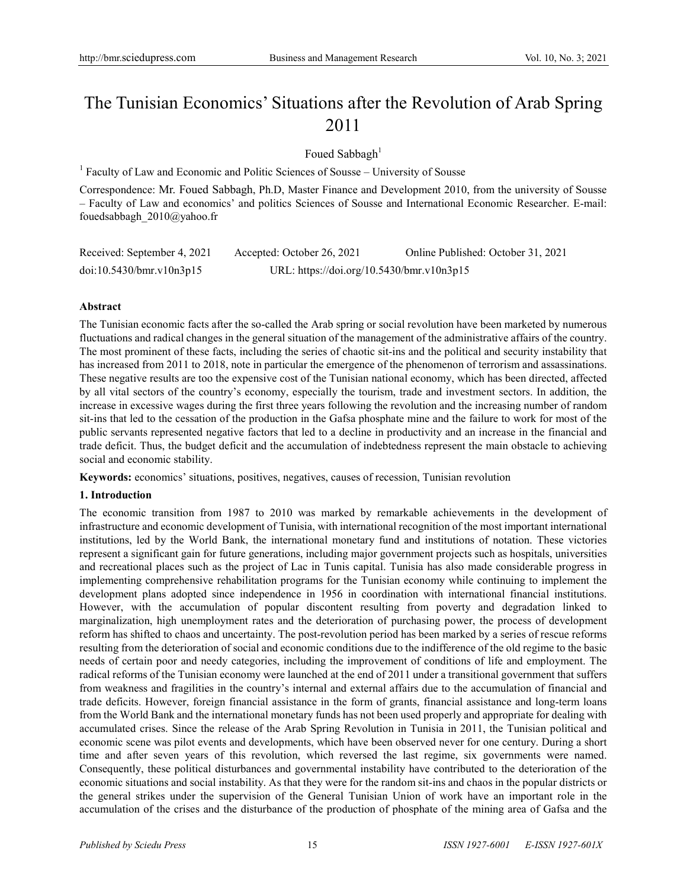# The Tunisian Economics' Situations after the Revolution of Arab Spring 2011

Foued Sabbagh<sup>1</sup>

 $<sup>1</sup>$  Faculty of Law and Economic and Politic Sciences of Sousse – University of Sousse</sup>

Correspondence: Mr. Foued Sabbagh, Ph.D, Master Finance and Development 2010, from the university of Sousse – Faculty of Law and economics' and politics Sciences of Sousse and International Economic Researcher. E-mail: fouedsabbagh\_2010@yahoo.fr

| Received: September 4, 2021 | Accepted: October 26, 2021                | Online Published: October 31, 2021 |
|-----------------------------|-------------------------------------------|------------------------------------|
| doi:10.5430/bmr.v10n3p15    | URL: https://doi.org/10.5430/bmr.v10n3p15 |                                    |

#### **Abstract**

The Tunisian economic facts after the so-called the Arab spring or social revolution have been marketed by numerous fluctuations and radical changes in the general situation of the management of the administrative affairs of the country. The most prominent of these facts, including the series of chaotic sit-ins and the political and security instability that has increased from 2011 to 2018, note in particular the emergence of the phenomenon of terrorism and assassinations. These negative results are too the expensive cost of the Tunisian national economy, which has been directed, affected by all vital sectors of the country's economy, especially the tourism, trade and investment sectors. In addition, the increase in excessive wages during the first three years following the revolution and the increasing number of random sit-ins that led to the cessation of the production in the Gafsa phosphate mine and the failure to work for most of the public servants represented negative factors that led to a decline in productivity and an increase in the financial and trade deficit. Thus, the budget deficit and the accumulation of indebtedness represent the main obstacle to achieving social and economic stability.

**Keywords:** economics' situations, positives, negatives, causes of recession, Tunisian revolution

## **1. Introduction**

The economic transition from 1987 to 2010 was marked by remarkable achievements in the development of infrastructure and economic development of Tunisia, with international recognition of the most important international institutions, led by the World Bank, the international monetary fund and institutions of notation. These victories represent a significant gain for future generations, including major government projects such as hospitals, universities and recreational places such as the project of Lac in Tunis capital. Tunisia has also made considerable progress in implementing comprehensive rehabilitation programs for the Tunisian economy while continuing to implement the development plans adopted since independence in 1956 in coordination with international financial institutions. However, with the accumulation of popular discontent resulting from poverty and degradation linked to marginalization, high unemployment rates and the deterioration of purchasing power, the process of development reform has shifted to chaos and uncertainty. The post-revolution period has been marked by a series of rescue reforms resulting from the deterioration of social and economic conditions due to the indifference of the old regime to the basic needs of certain poor and needy categories, including the improvement of conditions of life and employment. The radical reforms of the Tunisian economy were launched at the end of 2011 under a transitional government that suffers from weakness and fragilities in the country's internal and external affairs due to the accumulation of financial and trade deficits. However, foreign financial assistance in the form of grants, financial assistance and long-term loans from the World Bank and the international monetary funds has not been used properly and appropriate for dealing with accumulated crises. Since the release of the Arab Spring Revolution in Tunisia in 2011, the Tunisian political and economic scene was pilot events and developments, which have been observed never for one century. During a short time and after seven years of this revolution, which reversed the last regime, six governments were named. Consequently, these political disturbances and governmental instability have contributed to the deterioration of the economic situations and social instability. As that they were for the random sit-ins and chaos in the popular districts or the general strikes under the supervision of the General Tunisian Union of work have an important role in the accumulation of the crises and the disturbance of the production of phosphate of the mining area of Gafsa and the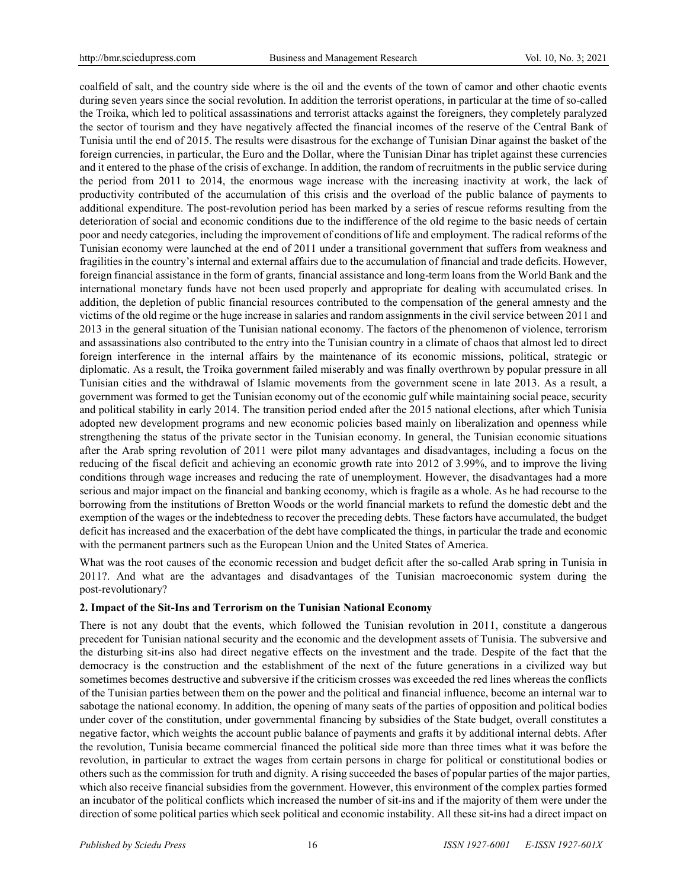coalfield of salt, and the country side where is the oil and the events of the town of camor and other chaotic events during seven years since the social revolution. In addition the terrorist operations, in particular at the time of so-called the Troika, which led to political assassinations and terrorist attacks against the foreigners, they completely paralyzed the sector of tourism and they have negatively affected the financial incomes of the reserve of the Central Bank of Tunisia until the end of 2015. The results were disastrous for the exchange of Tunisian Dinar against the basket of the foreign currencies, in particular, the Euro and the Dollar, where the Tunisian Dinar has triplet against these currencies and it entered to the phase of the crisis of exchange. In addition, the random of recruitments in the public service during the period from 2011 to 2014, the enormous wage increase with the increasing inactivity at work, the lack of productivity contributed of the accumulation of this crisis and the overload of the public balance of payments to additional expenditure. The post-revolution period has been marked by a series of rescue reforms resulting from the deterioration of social and economic conditions due to the indifference of the old regime to the basic needs of certain poor and needy categories, including the improvement of conditions of life and employment. The radical reforms of the Tunisian economy were launched at the end of 2011 under a transitional government that suffers from weakness and fragilities in the country's internal and external affairs due to the accumulation of financial and trade deficits. However, foreign financial assistance in the form of grants, financial assistance and long-term loans from the World Bank and the international monetary funds have not been used properly and appropriate for dealing with accumulated crises. In addition, the depletion of public financial resources contributed to the compensation of the general amnesty and the victims of the old regime or the huge increase in salaries and random assignments in the civil service between 2011 and 2013 in the general situation of the Tunisian national economy. The factors of the phenomenon of violence, terrorism and assassinations also contributed to the entry into the Tunisian country in a climate of chaos that almost led to direct foreign interference in the internal affairs by the maintenance of its economic missions, political, strategic or diplomatic. As a result, the Troika government failed miserably and was finally overthrown by popular pressure in all Tunisian cities and the withdrawal of Islamic movements from the government scene in late 2013. As a result, a government was formed to get the Tunisian economy out of the economic gulf while maintaining social peace, security and political stability in early 2014. The transition period ended after the 2015 national elections, after which Tunisia adopted new development programs and new economic policies based mainly on liberalization and openness while strengthening the status of the private sector in the Tunisian economy. In general, the Tunisian economic situations after the Arab spring revolution of 2011 were pilot many advantages and disadvantages, including a focus on the reducing of the fiscal deficit and achieving an economic growth rate into 2012 of 3.99%, and to improve the living conditions through wage increases and reducing the rate of unemployment. However, the disadvantages had a more serious and major impact on the financial and banking economy, which is fragile as a whole. As he had recourse to the borrowing from the institutions of Bretton Woods or the world financial markets to refund the domestic debt and the exemption of the wages or the indebtedness to recover the preceding debts. These factors have accumulated, the budget deficit has increased and the exacerbation of the debt have complicated the things, in particular the trade and economic with the permanent partners such as the European Union and the United States of America.

What was the root causes of the economic recession and budget deficit after the so-called Arab spring in Tunisia in 2011?. And what are the advantages and disadvantages of the Tunisian macroeconomic system during the post-revolutionary?

## **2. Impact of the Sit-Ins and Terrorism on the Tunisian National Economy**

There is not any doubt that the events, which followed the Tunisian revolution in 2011, constitute a dangerous precedent for Tunisian national security and the economic and the development assets of Tunisia. The subversive and the disturbing sit-ins also had direct negative effects on the investment and the trade. Despite of the fact that the democracy is the construction and the establishment of the next of the future generations in a civilized way but sometimes becomes destructive and subversive if the criticism crosses was exceeded the red lines whereas the conflicts of the Tunisian parties between them on the power and the political and financial influence, become an internal war to sabotage the national economy. In addition, the opening of many seats of the parties of opposition and political bodies under cover of the constitution, under governmental financing by subsidies of the State budget, overall constitutes a negative factor, which weights the account public balance of payments and grafts it by additional internal debts. After the revolution, Tunisia became commercial financed the political side more than three times what it was before the revolution, in particular to extract the wages from certain persons in charge for political or constitutional bodies or others such as the commission for truth and dignity. A rising succeeded the bases of popular parties of the major parties, which also receive financial subsidies from the government. However, this environment of the complex parties formed an incubator of the political conflicts which increased the number of sit-ins and if the majority of them were under the direction of some political parties which seek political and economic instability. All these sit-ins had a direct impact on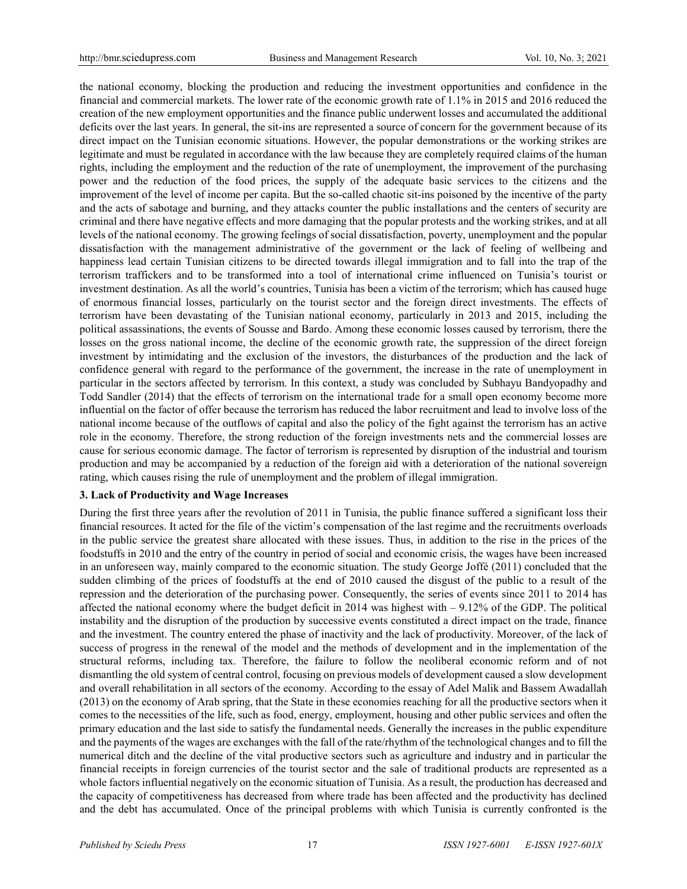the national economy, blocking the production and reducing the investment opportunities and confidence in the financial and commercial markets. The lower rate of the economic growth rate of 1.1% in 2015 and 2016 reduced the creation of the new employment opportunities and the finance public underwent losses and accumulated the additional deficits over the last years. In general, the sit-ins are represented a source of concern for the government because of its direct impact on the Tunisian economic situations. However, the popular demonstrations or the working strikes are legitimate and must be regulated in accordance with the law because they are completely required claims of the human rights, including the employment and the reduction of the rate of unemployment, the improvement of the purchasing power and the reduction of the food prices, the supply of the adequate basic services to the citizens and the improvement of the level of income per capita. But the so-called chaotic sit-ins poisoned by the incentive of the party and the acts of sabotage and burning, and they attacks counter the public installations and the centers of security are criminal and there have negative effects and more damaging that the popular protests and the working strikes, and at all levels of the national economy. The growing feelings of social dissatisfaction, poverty, unemployment and the popular dissatisfaction with the management administrative of the government or the lack of feeling of wellbeing and happiness lead certain Tunisian citizens to be directed towards illegal immigration and to fall into the trap of the terrorism traffickers and to be transformed into a tool of international crime influenced on Tunisia's tourist or investment destination. As all the world's countries, Tunisia has been a victim of the terrorism; which has caused huge of enormous financial losses, particularly on the tourist sector and the foreign direct investments. The effects of terrorism have been devastating of the Tunisian national economy, particularly in 2013 and 2015, including the political assassinations, the events of Sousse and Bardo. Among these economic losses caused by terrorism, there the losses on the gross national income, the decline of the economic growth rate, the suppression of the direct foreign investment by intimidating and the exclusion of the investors, the disturbances of the production and the lack of confidence general with regard to the performance of the government, the increase in the rate of unemployment in particular in the sectors affected by terrorism. In this context, a study was concluded by Subhayu Bandyopadhy and Todd Sandler (2014) that the effects of terrorism on the international trade for a small open economy become more influential on the factor of offer because the terrorism has reduced the labor recruitment and lead to involve loss of the national income because of the outflows of capital and also the policy of the fight against the terrorism has an active role in the economy. Therefore, the strong reduction of the foreign investments nets and the commercial losses are cause for serious economic damage. The factor of terrorism is represented by disruption of the industrial and tourism production and may be accompanied by a reduction of the foreign aid with a deterioration of the national sovereign rating, which causes rising the rule of unemployment and the problem of illegal immigration.

## **3. Lack of Productivity and Wage Increases**

During the first three years after the revolution of 2011 in Tunisia, the public finance suffered a significant loss their financial resources. It acted for the file of the victim's compensation of the last regime and the recruitments overloads in the public service the greatest share allocated with these issues. Thus, in addition to the rise in the prices of the foodstuffs in 2010 and the entry of the country in period of social and economic crisis, the wages have been increased in an unforeseen way, mainly compared to the economic situation. The study George Joffé (2011) concluded that the sudden climbing of the prices of foodstuffs at the end of 2010 caused the disgust of the public to a result of the repression and the deterioration of the purchasing power. Consequently, the series of events since 2011 to 2014 has affected the national economy where the budget deficit in 2014 was highest with  $-9.12\%$  of the GDP. The political instability and the disruption of the production by successive events constituted a direct impact on the trade, finance and the investment. The country entered the phase of inactivity and the lack of productivity. Moreover, of the lack of success of progress in the renewal of the model and the methods of development and in the implementation of the structural reforms, including tax. Therefore, the failure to follow the neoliberal economic reform and of not dismantling the old system of central control, focusing on previous models of development caused a slow development and overall rehabilitation in all sectors of the economy. According to the essay of Adel Malik and Bassem Awadallah (2013) on the economy of Arab spring, that the State in these economies reaching for all the productive sectors when it comes to the necessities of the life, such as food, energy, employment, housing and other public services and often the primary education and the last side to satisfy the fundamental needs. Generally the increases in the public expenditure and the payments of the wages are exchanges with the fall of the rate/rhythm of the technological changes and to fill the numerical ditch and the decline of the vital productive sectors such as agriculture and industry and in particular the financial receipts in foreign currencies of the tourist sector and the sale of traditional products are represented as a whole factors influential negatively on the economic situation of Tunisia. As a result, the production has decreased and the capacity of competitiveness has decreased from where trade has been affected and the productivity has declined and the debt has accumulated. Once of the principal problems with which Tunisia is currently confronted is the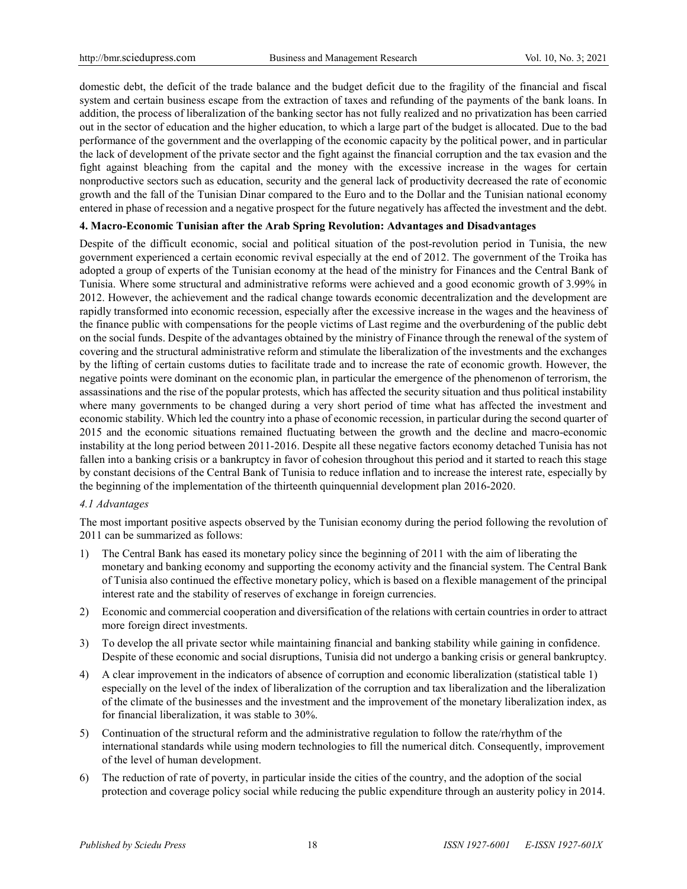domestic debt, the deficit of the trade balance and the budget deficit due to the fragility of the financial and fiscal system and certain business escape from the extraction of taxes and refunding of the payments of the bank loans. In addition, the process of liberalization of the banking sector has not fully realized and no privatization has been carried out in the sector of education and the higher education, to which a large part of the budget is allocated. Due to the bad performance of the government and the overlapping of the economic capacity by the political power, and in particular the lack of development of the private sector and the fight against the financial corruption and the tax evasion and the fight against bleaching from the capital and the money with the excessive increase in the wages for certain nonproductive sectors such as education, security and the general lack of productivity decreased the rate of economic growth and the fall of the Tunisian Dinar compared to the Euro and to the Dollar and the Tunisian national economy entered in phase of recession and a negative prospect for the future negatively has affected the investment and the debt.

## **4. Macro-Economic Tunisian after the Arab Spring Revolution: Advantages and Disadvantages**

Despite of the difficult economic, social and political situation of the post-revolution period in Tunisia, the new government experienced a certain economic revival especially at the end of 2012. The government of the Troika has adopted a group of experts of the Tunisian economy at the head of the ministry for Finances and the Central Bank of Tunisia. Where some structural and administrative reforms were achieved and a good economic growth of 3.99% in 2012. However, the achievement and the radical change towards economic decentralization and the development are rapidly transformed into economic recession, especially after the excessive increase in the wages and the heaviness of the finance public with compensations for the people victims of Last regime and the overburdening of the public debt on the social funds. Despite of the advantages obtained by the ministry of Finance through the renewal of the system of covering and the structural administrative reform and stimulate the liberalization of the investments and the exchanges by the lifting of certain customs duties to facilitate trade and to increase the rate of economic growth. However, the negative points were dominant on the economic plan, in particular the emergence of the phenomenon of terrorism, the assassinations and the rise of the popular protests, which has affected the security situation and thus political instability where many governments to be changed during a very short period of time what has affected the investment and economic stability. Which led the country into a phase of economic recession, in particular during the second quarter of 2015 and the economic situations remained fluctuating between the growth and the decline and macro-economic instability at the long period between 2011-2016. Despite all these negative factors economy detached Tunisia has not fallen into a banking crisis or a bankruptcy in favor of cohesion throughout this period and it started to reach this stage by constant decisions of the Central Bank of Tunisia to reduce inflation and to increase the interest rate, especially by the beginning of the implementation of the thirteenth quinquennial development plan 2016-2020.

## *4.1 Advantages*

The most important positive aspects observed by the Tunisian economy during the period following the revolution of 2011 can be summarized as follows:

- 1) The Central Bank has eased its monetary policy since the beginning of 2011 with the aim of liberating the monetary and banking economy and supporting the economy activity and the financial system. The Central Bank of Tunisia also continued the effective monetary policy, which is based on a flexible management of the principal interest rate and the stability of reserves of exchange in foreign currencies.
- 2) Economic and commercial cooperation and diversification of the relations with certain countries in order to attract more foreign direct investments.
- 3) To develop the all private sector while maintaining financial and banking stability while gaining in confidence. Despite of these economic and social disruptions, Tunisia did not undergo a banking crisis or general bankruptcy.
- 4) A clear improvement in the indicators of absence of corruption and economic liberalization (statistical table 1) especially on the level of the index of liberalization of the corruption and tax liberalization and the liberalization of the climate of the businesses and the investment and the improvement of the monetary liberalization index, as for financial liberalization, it was stable to 30%.
- 5) Continuation of the structural reform and the administrative regulation to follow the rate/rhythm of the international standards while using modern technologies to fill the numerical ditch. Consequently, improvement of the level of human development.
- 6) The reduction of rate of poverty, in particular inside the cities of the country, and the adoption of the social protection and coverage policy social while reducing the public expenditure through an austerity policy in 2014.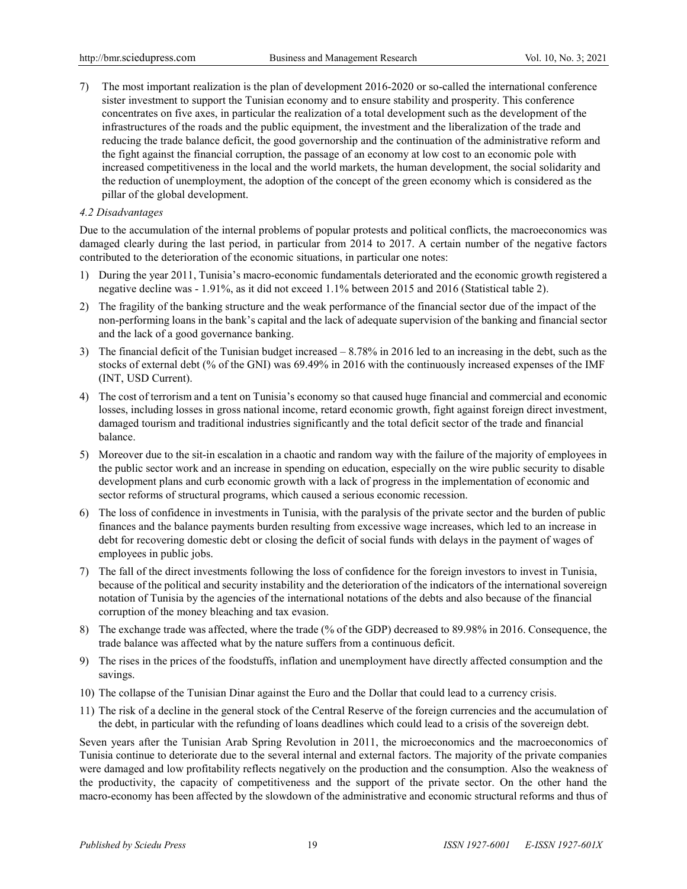7) The most important realization is the plan of development 2016-2020 or so-called the international conference sister investment to support the Tunisian economy and to ensure stability and prosperity. This conference concentrates on five axes, in particular the realization of a total development such as the development of the infrastructures of the roads and the public equipment, the investment and the liberalization of the trade and reducing the trade balance deficit, the good governorship and the continuation of the administrative reform and the fight against the financial corruption, the passage of an economy at low cost to an economic pole with increased competitiveness in the local and the world markets, the human development, the social solidarity and the reduction of unemployment, the adoption of the concept of the green economy which is considered as the pillar of the global development.

#### *4.2 Disadvantages*

Due to the accumulation of the internal problems of popular protests and political conflicts, the macroeconomics was damaged clearly during the last period, in particular from 2014 to 2017. A certain number of the negative factors contributed to the deterioration of the economic situations, in particular one notes:

- 1) During the year 2011, Tunisia's macro-economic fundamentals deteriorated and the economic growth registered a negative decline was - 1.91%, as it did not exceed 1.1% between 2015 and 2016 (Statistical table 2).
- 2) The fragility of the banking structure and the weak performance of the financial sector due of the impact of the non-performing loans in the bank's capital and the lack of adequate supervision of the banking and financial sector and the lack of a good governance banking.
- 3) The financial deficit of the Tunisian budget increased 8.78% in 2016 led to an increasing in the debt, such as the stocks of external debt (% of the GNI) was 69.49% in 2016 with the continuously increased expenses of the IMF (INT, USD Current).
- 4) The cost of terrorism and a tent on Tunisia's economy so that caused huge financial and commercial and economic losses, including losses in gross national income, retard economic growth, fight against foreign direct investment, damaged tourism and traditional industries significantly and the total deficit sector of the trade and financial balance.
- 5) Moreover due to the sit-in escalation in a chaotic and random way with the failure of the majority of employees in the public sector work and an increase in spending on education, especially on the wire public security to disable development plans and curb economic growth with a lack of progress in the implementation of economic and sector reforms of structural programs, which caused a serious economic recession.
- 6) The loss of confidence in investments in Tunisia, with the paralysis of the private sector and the burden of public finances and the balance payments burden resulting from excessive wage increases, which led to an increase in debt for recovering domestic debt or closing the deficit of social funds with delays in the payment of wages of employees in public jobs.
- 7) The fall of the direct investments following the loss of confidence for the foreign investors to invest in Tunisia, because of the political and security instability and the deterioration of the indicators of the international sovereign notation of Tunisia by the agencies of the international notations of the debts and also because of the financial corruption of the money bleaching and tax evasion.
- 8) The exchange trade was affected, where the trade (% of the GDP) decreased to 89.98% in 2016. Consequence, the trade balance was affected what by the nature suffers from a continuous deficit.
- 9) The rises in the prices of the foodstuffs, inflation and unemployment have directly affected consumption and the savings.
- 10) The collapse of the Tunisian Dinar against the Euro and the Dollar that could lead to a currency crisis.
- 11) The risk of a decline in the general stock of the Central Reserve of the foreign currencies and the accumulation of the debt, in particular with the refunding of loans deadlines which could lead to a crisis of the sovereign debt.

Seven years after the Tunisian Arab Spring Revolution in 2011, the microeconomics and the macroeconomics of Tunisia continue to deteriorate due to the several internal and external factors. The majority of the private companies were damaged and low profitability reflects negatively on the production and the consumption. Also the weakness of the productivity, the capacity of competitiveness and the support of the private sector. On the other hand the macro-economy has been affected by the slowdown of the administrative and economic structural reforms and thus of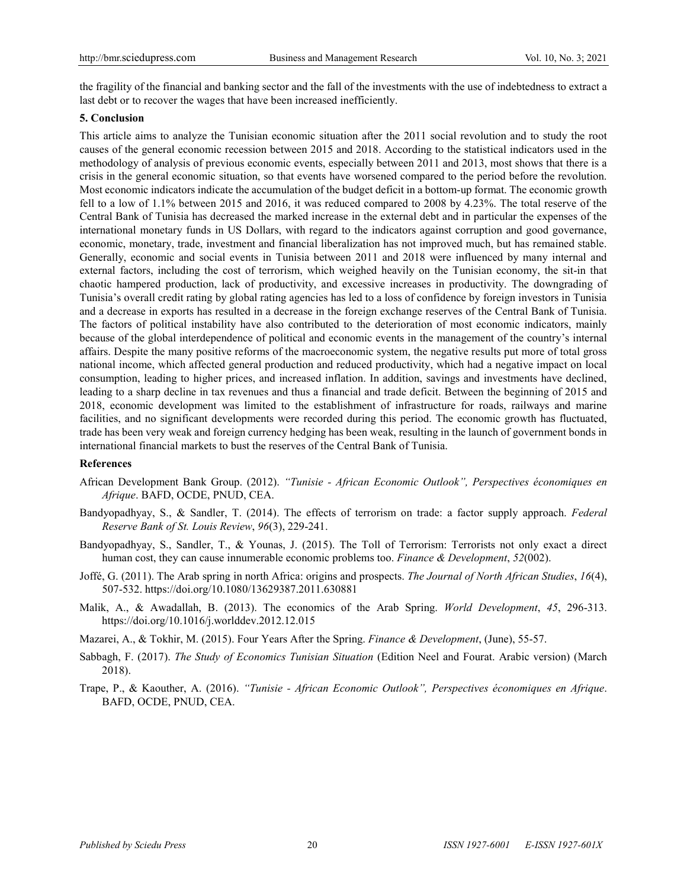the fragility of the financial and banking sector and the fall of the investments with the use of indebtedness to extract a last debt or to recover the wages that have been increased inefficiently.

# **5. Conclusion**

This article aims to analyze the Tunisian economic situation after the 2011 social revolution and to study the root causes of the general economic recession between 2015 and 2018. According to the statistical indicators used in the methodology of analysis of previous economic events, especially between 2011 and 2013, most shows that there is a crisis in the general economic situation, so that events have worsened compared to the period before the revolution. Most economic indicators indicate the accumulation of the budget deficit in a bottom-up format. The economic growth fell to a low of 1.1% between 2015 and 2016, it was reduced compared to 2008 by 4.23%. The total reserve of the Central Bank of Tunisia has decreased the marked increase in the external debt and in particular the expenses of the international monetary funds in US Dollars, with regard to the indicators against corruption and good governance, economic, monetary, trade, investment and financial liberalization has not improved much, but has remained stable. Generally, economic and social events in Tunisia between 2011 and 2018 were influenced by many internal and external factors, including the cost of terrorism, which weighed heavily on the Tunisian economy, the sit-in that chaotic hampered production, lack of productivity, and excessive increases in productivity. The downgrading of Tunisia's overall credit rating by global rating agencies has led to a loss of confidence by foreign investors in Tunisia and a decrease in exports has resulted in a decrease in the foreign exchange reserves of the Central Bank of Tunisia. The factors of political instability have also contributed to the deterioration of most economic indicators, mainly because of the global interdependence of political and economic events in the management of the country's internal affairs. Despite the many positive reforms of the macroeconomic system, the negative results put more of total gross national income, which affected general production and reduced productivity, which had a negative impact on local consumption, leading to higher prices, and increased inflation. In addition, savings and investments have declined, leading to a sharp decline in tax revenues and thus a financial and trade deficit. Between the beginning of 2015 and 2018, economic development was limited to the establishment of infrastructure for roads, railways and marine facilities, and no significant developments were recorded during this period. The economic growth has fluctuated, trade has been very weak and foreign currency hedging has been weak, resulting in the launch of government bonds in international financial markets to bust the reserves of the Central Bank of Tunisia.

## **References**

- African Development Bank Group. (2012). *"Tunisie - African Economic Outlook", Perspectives économiques en Afrique*. BAFD, OCDE, PNUD, CEA.
- Bandyopadhyay, S., & Sandler, T. (2014). The effects of terrorism on trade: a factor supply approach. *Federal Reserve Bank of St. Louis Review*, *96*(3), 229-241.
- Bandyopadhyay, S., Sandler, T., & Younas, J. (2015). The Toll of Terrorism: Terrorists not only exact a direct human cost, they can cause innumerable economic problems too. *Finance & Development*, *52*(002).
- Joffé, G. (2011). The Arab spring in north Africa: origins and prospects. *The Journal of North African Studies*, *16*(4), 507-532. https://doi.org/10.1080/13629387.2011.630881
- Malik, A., & Awadallah, B. (2013). The economics of the Arab Spring. *World Development*, *45*, 296-313. https://doi.org/10.1016/j.worlddev.2012.12.015
- Mazarei, A., & Tokhir, M. (2015). Four Years After the Spring. *Finance & Development*, (June), 55-57.
- Sabbagh, F. (2017). *The Study of Economics Tunisian Situation* (Edition Neel and Fourat. Arabic version) (March 2018).
- Trape, P., & Kaouther, A. (2016). *"Tunisie - African Economic Outlook", Perspectives économiques en Afrique*. BAFD, OCDE, PNUD, CEA.